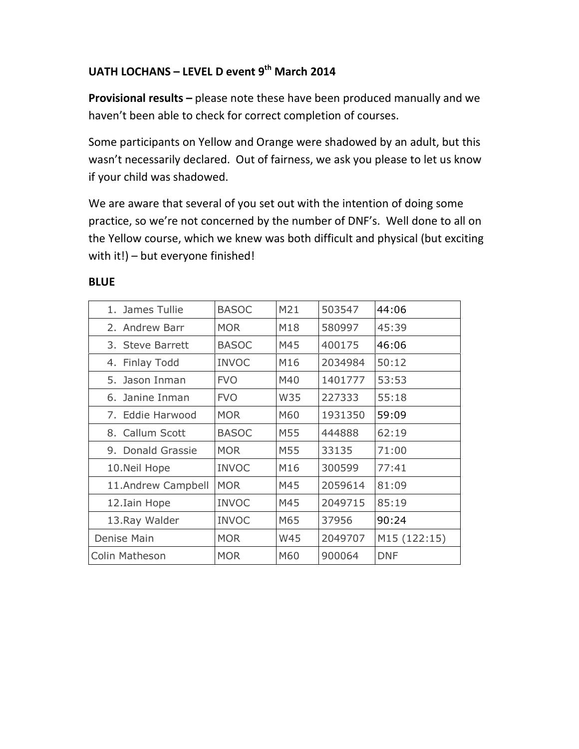# UATH LOCHANS - LEVEL D event 9<sup>th</sup> March 2014

Provisional results – please note these have been produced manually and we haven't been able to check for correct completion of courses.

Some participants on Yellow and Orange were shadowed by an adult, but this wasn't necessarily declared. Out of fairness, we ask you please to let us know if your child was shadowed.

We are aware that several of you set out with the intention of doing some practice, so we're not concerned by the number of DNF's. Well done to all on the Yellow course, which we knew was both difficult and physical (but exciting with it!) – but everyone finished!

| 1. James Tullie    | <b>BASOC</b> | M21 | 503547  | 44:06        |
|--------------------|--------------|-----|---------|--------------|
| 2. Andrew Barr     | <b>MOR</b>   | M18 | 580997  | 45:39        |
| 3. Steve Barrett   | <b>BASOC</b> | M45 | 400175  | 46:06        |
| 4. Finlay Todd     | <b>INVOC</b> | M16 | 2034984 | 50:12        |
| 5. Jason Inman     | <b>FVO</b>   | M40 | 1401777 | 53:53        |
| 6. Janine Inman    | <b>FVO</b>   | W35 | 227333  | 55:18        |
| 7. Eddie Harwood   | <b>MOR</b>   | M60 | 1931350 | 59:09        |
| 8. Callum Scott    | <b>BASOC</b> | M55 | 444888  | 62:19        |
| 9. Donald Grassie  | <b>MOR</b>   | M55 | 33135   | 71:00        |
| 10. Neil Hope      | <b>INVOC</b> | M16 | 300599  | 77:41        |
| 11.Andrew Campbell | <b>MOR</b>   | M45 | 2059614 | 81:09        |
| 12. Iain Hope      | <b>INVOC</b> | M45 | 2049715 | 85:19        |
| 13. Ray Walder     | <b>INVOC</b> | M65 | 37956   | 90:24        |
| Denise Main        | <b>MOR</b>   | W45 | 2049707 | M15 (122:15) |
| Colin Matheson     | <b>MOR</b>   | M60 | 900064  | <b>DNF</b>   |

#### **BLUE**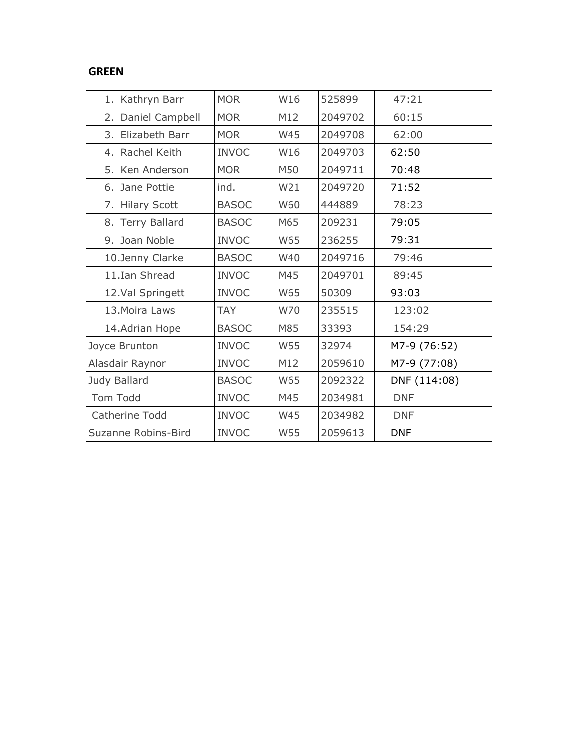### GREEN

| 1. Kathryn Barr     | <b>MOR</b>   | W16        | 525899  | 47:21        |
|---------------------|--------------|------------|---------|--------------|
| 2. Daniel Campbell  | <b>MOR</b>   | M12        | 2049702 | 60:15        |
| 3. Elizabeth Barr   | <b>MOR</b>   | <b>W45</b> | 2049708 | 62:00        |
| 4. Rachel Keith     | <b>INVOC</b> | W16        | 2049703 | 62:50        |
| 5. Ken Anderson     | <b>MOR</b>   | M50        | 2049711 | 70:48        |
| 6. Jane Pottie      | ind.         | W21        | 2049720 | 71:52        |
| 7. Hilary Scott     | <b>BASOC</b> | <b>W60</b> | 444889  | 78:23        |
| 8. Terry Ballard    | <b>BASOC</b> | M65        | 209231  | 79:05        |
| 9. Joan Noble       | <b>INVOC</b> | W65        | 236255  | 79:31        |
| 10.Jenny Clarke     | <b>BASOC</b> | W40        | 2049716 | 79:46        |
| 11.Ian Shread       | <b>INVOC</b> | M45        | 2049701 | 89:45        |
| 12.Val Springett    | <b>INVOC</b> | W65        | 50309   | 93:03        |
| 13. Moira Laws      | <b>TAY</b>   | W70        | 235515  | 123:02       |
| 14.Adrian Hope      | <b>BASOC</b> | M85        | 33393   | 154:29       |
| Joyce Brunton       | <b>INVOC</b> | <b>W55</b> | 32974   | M7-9 (76:52) |
| Alasdair Raynor     | <b>INVOC</b> | M12        | 2059610 | M7-9 (77:08) |
| Judy Ballard        | <b>BASOC</b> | W65        | 2092322 | DNF (114:08) |
| Tom Todd            | <b>INVOC</b> | M45        | 2034981 | <b>DNF</b>   |
| Catherine Todd      | <b>INVOC</b> | W45        | 2034982 | <b>DNF</b>   |
| Suzanne Robins-Bird | <b>INVOC</b> | W55        | 2059613 | <b>DNF</b>   |
|                     |              |            |         |              |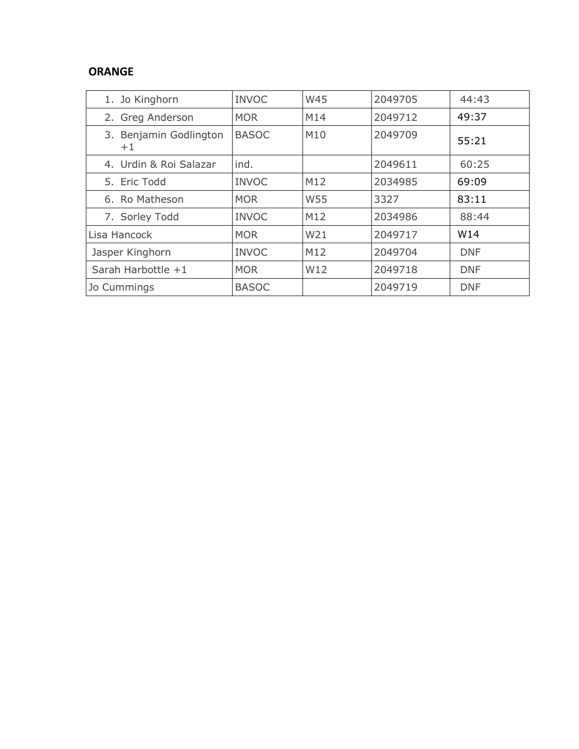## ORANGE

| 1. Jo Kinghorn                 | <b>INVOC</b> | <b>W45</b>      | 2049705 | 44:43      |
|--------------------------------|--------------|-----------------|---------|------------|
| 2. Greg Anderson               | <b>MOR</b>   | M14             | 2049712 | 49:37      |
| 3. Benjamin Godlington<br>$+1$ | <b>BASOC</b> | M10             | 2049709 | 55:21      |
| 4. Urdin & Roi Salazar         | ind.         |                 | 2049611 | 60:25      |
| 5. Eric Todd                   | <b>INVOC</b> | M12             | 2034985 | 69:09      |
| 6. Ro Matheson                 | <b>MOR</b>   | W55             | 3327    | 83:11      |
| 7. Sorley Todd                 | <b>INVOC</b> | M12             | 2034986 | 88:44      |
| Lisa Hancock                   | <b>MOR</b>   | W21             | 2049717 | W14        |
| Jasper Kinghorn                | <b>INVOC</b> | M12             | 2049704 | <b>DNF</b> |
| Sarah Harbottle +1             | <b>MOR</b>   | W <sub>12</sub> | 2049718 | <b>DNF</b> |
| Jo Cummings                    | <b>BASOC</b> |                 | 2049719 | <b>DNF</b> |